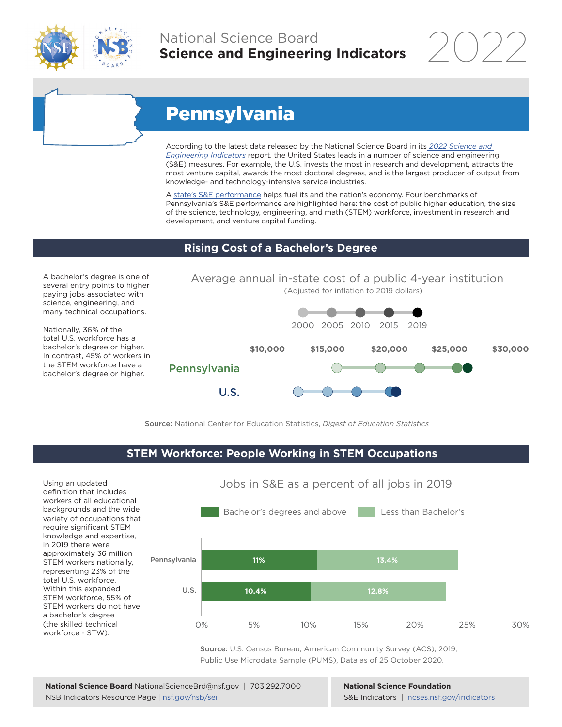

## National Science Board **Science and Engineering Indicators**

# Pennsylvania

According to the latest data released by the National Science Board in its *[2022 Science and](https://www.ncses.nsf.gov/indicators)  [Engineering Indicators](https://www.ncses.nsf.gov/indicators)* report, the United States leads in a number of science and engineering (S&E) measures. For example, the U.S. invests the most in research and development, attracts the most venture capital, awards the most doctoral degrees, and is the largest producer of output from knowledge- and technology-intensive service industries.

A [state's S&E performance](https://ncses.nsf.gov/indicators/states/) helps fuel its and the nation's economy. Four benchmarks of Pennsylvania's S&E performance are highlighted here: the cost of public higher education, the size of the science, technology, engineering, and math (STEM) workforce, investment in research and development, and venture capital funding.

### **Rising Cost of a Bachelor's Degree**

A bachelor's degree is one of several entry points to higher paying jobs associated with science, engineering, and many technical occupations.

Nationally, 36% of the total U.S. workforce has a bachelor's degree or higher. In contrast, 45% of workers in the STEM workforce have a bachelor's degree or higher.



Source: National Center for Education Statistics, *Digest of Education Statistics*

### **STEM Workforce: People Working in STEM Occupations**

Using an updated definition that includes workers of all educational backgrounds and the wide variety of occupations that require significant STEM knowledge and expertise, in 2019 there were approximately 36 million STEM workers nationally, representing 23% of the total U.S. workforce. Within this expanded STEM workforce, 55% of STEM workers do not have a bachelor's degree (the skilled technical workforce - STW).



Jobs in S&E as a percent of all jobs in 2019

Source: U.S. Census Bureau, American Community Survey (ACS), 2019, Public Use Microdata Sample (PUMS), Data as of 25 October 2020.

**National Science Foundation** S&E Indicators | [ncses.nsf.gov/indicators](https://www.ncses.nsf.gov/indicators)